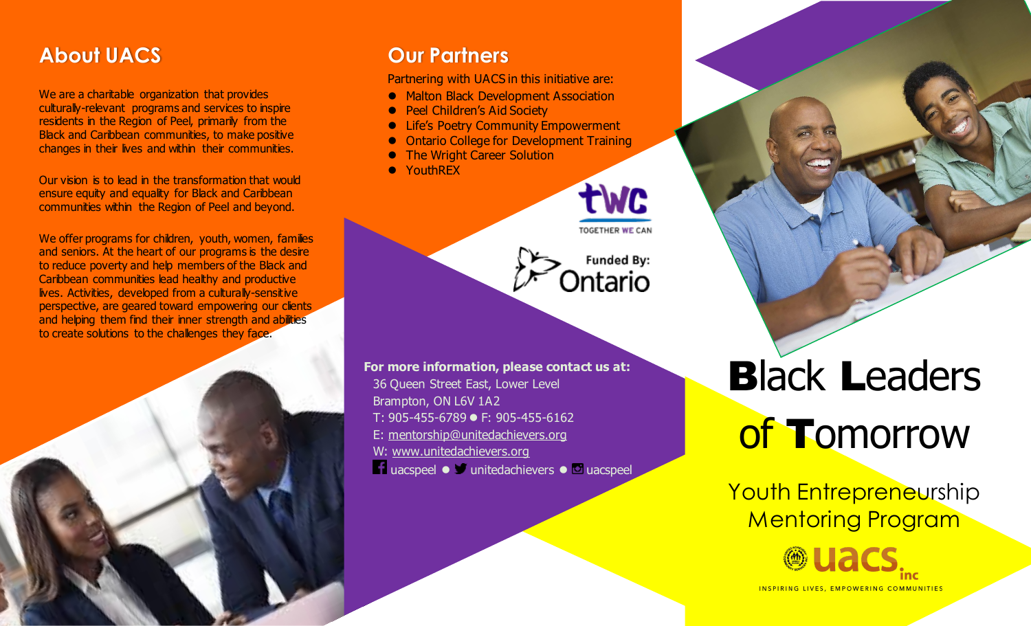## **About UACS**

We are a charitable organization that provides culturally-relevant programs and services to inspire residents in the Region of Peel, primarily from the Black and Caribbean communities, to make positive changes in their lives and within their communities.

Our vision is to lead in the transformation that would ensure equity and equality for Black and Caribbean communities within the Region of Peel and beyond.

We offer programs for children, youth, women, families and seniors. At the heart of our programs is the desire to reduce poverty and help members of the Black and Caribbean communities lead healthy and productive lives. Activities, developed from a culturally-sensitive perspective, are geared toward empowering our clients and helping them find their inner strength and abilities to create solutions to the challenges they face.

## **Our Partners**

Partnering with UACS in this initiative are:

- Malton Black Development Association
- **Peel Children's Aid Society**
- **Life's Poetry Community Empowerment**
- ⚫ Ontario College for Development Training
- ⚫ The Wright Career Solution
- YouthRFX



**Funded By:** 

Ontario

**For more information, please contact us at:** 36 Queen Street East, Lower Level Brampton, ON L6V 1A2 T: 905-455-6789 ⚫ F: 905-455-6162 E: [mentorship@unitedachievers.org](mailto:mentorship@unitedachievers.org) W: [www.unitedachievers.org](http://www.unitedachievers.org/) **La uacspeel ● D** unitedachievers ● **D** uacspeel

# **Black Leaders** of Tomorrow

Youth Entrepreneurship Mentoring Program

> **@uacs INSPIRING LIVES, EMPOWERING COMMUNITIES**